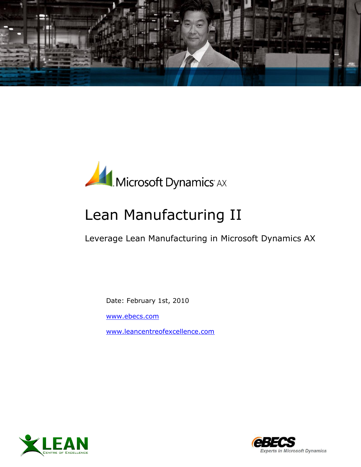



# Lean Manufacturing II

Leverage Lean Manufacturing in Microsoft Dynamics AX

Date: February 1st, 2010

[www.ebecs.com](http://www.ebecs.com/)

[www.leancentreofexcellence.com](http://www.leancentreofexcellence.com/)



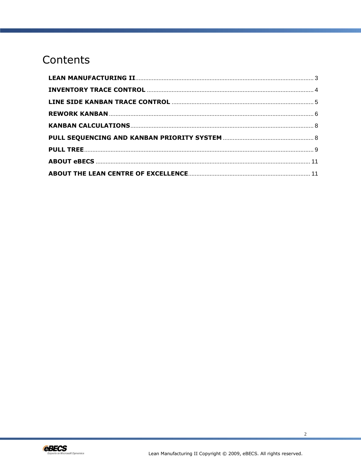# Contents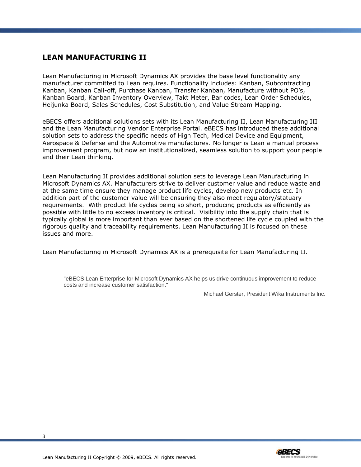# <span id="page-2-0"></span>**LEAN MANUFACTURING II**

Lean Manufacturing in Microsoft Dynamics AX provides the base level functionality any manufacturer committed to Lean requires. Functionality includes: Kanban, Subcontracting Kanban, Kanban Call-off, Purchase Kanban, Transfer Kanban, Manufacture without PO's, Kanban Board, Kanban Inventory Overview, Takt Meter, Bar codes, Lean Order Schedules, Heijunka Board, Sales Schedules, Cost Substitution, and Value Stream Mapping.

eBECS offers additional solutions sets with its Lean Manufacturing II, Lean Manufacturing III and the Lean Manufacturing Vendor Enterprise Portal. eBECS has introduced these additional solution sets to address the specific needs of High Tech, Medical Device and Equipment, Aerospace & Defense and the Automotive manufactures. No longer is Lean a manual process improvement program, but now an institutionalized, seamless solution to support your people and their Lean thinking.

Lean Manufacturing II provides additional solution sets to leverage Lean Manufacturing in Microsoft Dynamics AX. Manufacturers strive to deliver customer value and reduce waste and at the same time ensure they manage product life cycles, develop new products etc. In addition part of the customer value will be ensuring they also meet regulatory/statuary requirements. With product life cycles being so short, producing products as efficiently as possible with little to no excess inventory is critical. Visibility into the supply chain that is typically global is more important than ever based on the shortened life cycle coupled with the rigorous quality and traceability requirements. Lean Manufacturing II is focused on these issues and more.

Lean Manufacturing in Microsoft Dynamics AX is a prerequisite for Lean Manufacturing II.

"eBECS Lean Enterprise for Microsoft Dynamics AX helps us drive continuous improvement to reduce costs and increase customer satisfaction."

Michael Gerster, President Wika Instruments Inc.

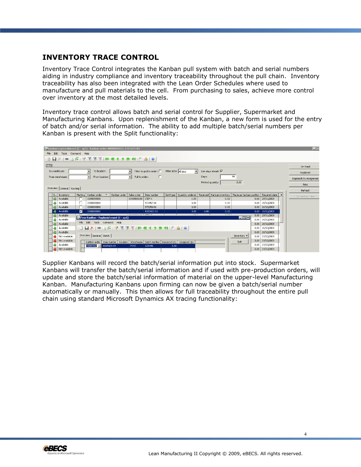# <span id="page-3-0"></span>**INVENTORY TRACE CONTROL**

Inventory Trace Control integrates the Kanban pull system with batch and serial numbers aiding in industry compliance and inventory traceability throughout the pull chain. Inventory traceability has also been integrated with the Lean Order Schedules where used to manufacture and pull materials to the cell. From purchasing to sales, achieve more control over inventory at the most detailed levels.

Inventory trace control allows batch and serial control for Supplier, Supermarket and Manufacturing Kanbans. Upon replenishment of the Kanban, a new form is used for the entry of batch and/or serial information. The ability to add multiple batch/serial numbers per Kanban is present with the Split functionality:



Supplier Kanbans will record the batch/serial information put into stock. Supermarket Kanbans will transfer the batch/serial information and if used with pre-production orders, will update and store the batch/serial information of material on the upper-level Manufacturing Kanban. Manufacturing Kanbans upon firming can now be given a batch/serial number automatically or manually. This then allows for full traceability throughout the entire pull chain using standard Microsoft Dynamics AX tracing functionality:

4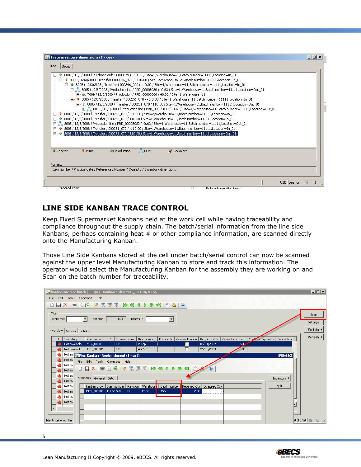| BOM<br>Receipt<br>$\frac{1}{2}$ Issue<br><b>&amp;&amp; Production</b><br>Backward | A<br>王子 |  | 田 38 7009 / 12/3/2008 / Production / PRD_00005080 / 40.00 / Site=1, Warehouse=11<br>E 01111,Location=In 0113/2008 / Transfer / 000246 070 / -110.00 / Site=2,Warehouse=21,Batch number=11111,Location=In<br>E + 1111,Location=In_01{\displaystare / 000246_070 / 110.00 / Site=1,Warehouse=11,Batch number=11111,Location=In_01<br>8005 / 12/3/2008 / Transfer / 000251 070 / -110.00 / Site=1, Warehouse=11, Batch number=11111, Location=In 01 | in 1111,Location=In 01 1713/2008 / Transfer / 000246 070 / -110.00 / Site=2.Warehouse=21.Batch number=11111.Location=In 01<br>白一个 8005 / 12/3/2008 / Transfer / 000246 070 / 110.00 / Site=1.Warehouse=11.Batch number=11111.Location=In 01<br>白 - 8005 / 12/3/2008 / Production line / PRD_00005080 / -0.63 / Site=1, Warehouse=11, Batch number=11111, Location=Out_01<br>白… → 8005 / 12/3/2008 / Transfer / 000251 070 / -110.00 / Site=1, Warehouse=11, Batch number=11111, Location=In 01<br>白… 1 8005 / 12/3/2008 / Transfer / 000251_070 / 110.00 / Site=1, Warehouse=11, Batch number=11111, Location=Out_01<br>8005 / 12/3/2008 / Production line / PRD_00005080 / -0.63 / Site=1, Warehouse=11, Batch number=11111, Location=Out_01<br>8005 / 12/3/2008 / Transfer / 000251_070 / 110.00 / Site=1, Warehouse=11, Batch number=11111, Location=Out_01 |  |
|-----------------------------------------------------------------------------------|---------|--|--------------------------------------------------------------------------------------------------------------------------------------------------------------------------------------------------------------------------------------------------------------------------------------------------------------------------------------------------------------------------------------------------------------------------------------------------|----------------------------------------------------------------------------------------------------------------------------------------------------------------------------------------------------------------------------------------------------------------------------------------------------------------------------------------------------------------------------------------------------------------------------------------------------------------------------------------------------------------------------------------------------------------------------------------------------------------------------------------------------------------------------------------------------------------------------------------------------------------------------------------------------------------------------------------------------------------|--|
|                                                                                   | $+ - 1$ |  |                                                                                                                                                                                                                                                                                                                                                                                                                                                  |                                                                                                                                                                                                                                                                                                                                                                                                                                                                                                                                                                                                                                                                                                                                                                                                                                                                |  |

# <span id="page-4-0"></span>**LINE SIDE KANBAN TRACE CONTROL**

Keep Fixed Supermarket Kanbans held at the work cell while having traceability and compliance throughout the supply chain. The batch/serial information from the line side Kanbans, perhaps containing heat # or other compliance information, are scanned directly onto the Manufacturing Kanban.

Those Line Side Kanbans stored at the cell under batch/serial control can now be scanned against the upper level Manufacturing Kanban to store and track this information. The operator would select the Manufacturing Kanban for the assembly they are working on and Scan on the batch number for traceability.

| <b>DA</b> kanban line side batch (1 - sp1) - Kanban order: MFG_000010, A Top                                                                                                                                                                        | I                             |
|-----------------------------------------------------------------------------------------------------------------------------------------------------------------------------------------------------------------------------------------------------|-------------------------------|
| File Edit Tools Command Help                                                                                                                                                                                                                        |                               |
| <b>DBX ●BG 77 33 3 10 41 0 0 0 1 2 1 0</b>                                                                                                                                                                                                          |                               |
| Filter<br>0.00 Process Id:<br>$\mathbf{r}$<br>Work cell:<br>Takt time:                                                                                                                                                                              | Scan<br>Settings              |
| Overview   General   Details                                                                                                                                                                                                                        | Explode                       |
| Process Id   Generic kanban   Required date   Quantity ordered   Confirmed quantity  <br>Inventory<br>Kanban order<br>To warehouse<br>Item number<br>Subcontrac -<br>$\Delta$<br>Not available<br>MFG 000010<br>06/04/2009<br>2.00<br>RTS.<br>A Top | Refresh $\blacktriangleright$ |
| Not available<br>TST_000004<br>RTS<br>26/01/2009<br>1.00<br>ASSYKB                                                                                                                                                                                  |                               |
| Not av <b>Prins Kanban</b> - Replenishment (1 - sp1)<br>$\blacksquare$ $\blacksquare$ $\times$                                                                                                                                                      |                               |
| Not av<br>File Edit Tools Command Help                                                                                                                                                                                                              |                               |
| Not av<br>□日× ●BF 牙舌多下 ゆめす♪ゆめ り☆<br>Not av                                                                                                                                                                                                          |                               |
| Not av<br>Overview General Batch<br>Inventory $\blacktriangleright$<br>Not av                                                                                                                                                                       |                               |
| Split<br>Not av<br>Kanban order   Item number   Revision   Warehouse  <br>Batch number   Received Qty<br>Scrapped Qty                                                                                                                               |                               |
| MFG_000004 D Line Side<br>PCSC.<br>D<br>456<br>2,00<br>Not av                                                                                                                                                                                       |                               |
| Not av<br>Not av                                                                                                                                                                                                                                    |                               |
|                                                                                                                                                                                                                                                     |                               |
|                                                                                                                                                                                                                                                     |                               |
| Identification of the                                                                                                                                                                                                                               | 9 18:59 B B                   |

5



Lean Manufacturing II Copyright © 2009, eBECS. All rights reserved.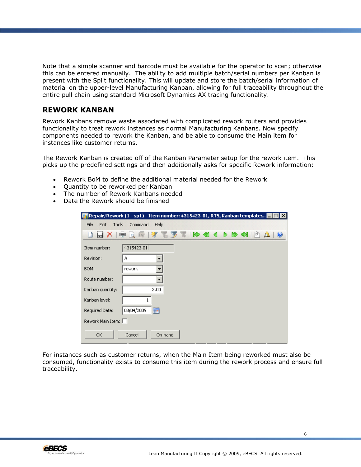Note that a simple scanner and barcode must be available for the operator to scan; otherwise this can be entered manually. The ability to add multiple batch/serial numbers per Kanban is present with the Split functionality. This will update and store the batch/serial information of material on the upper-level Manufacturing Kanban, allowing for full traceability throughout the entire pull chain using standard Microsoft Dynamics AX tracing functionality.

### <span id="page-5-0"></span>**REWORK KANBAN**

Rework Kanbans remove waste associated with complicated rework routers and provides functionality to treat rework instances as normal Manufacturing Kanbans. Now specify components needed to rework the Kanban, and be able to consume the Main item for instances like customer returns.

The Rework Kanban is created off of the Kanban Parameter setup for the rework item. This picks up the predefined settings and then additionally asks for specific Rework information:

- Rework BoM to define the additional material needed for the Rework
- Quantity to be reworked per Kanban
- The number of Rework Kanbans needed
- Date the Rework should be finished

|                             | Repair/Rework (1 - sp1) - Item number: 4315423-01, RTS, Kanban template: FIFI $\boxtimes$ |
|-----------------------------|-------------------------------------------------------------------------------------------|
| File<br>Edit<br>Tools       | Help<br>Command                                                                           |
|                             | <b>FEFERSODD</b> ND<br>$\circledcirc$                                                     |
| Item number:                | 4315423-01                                                                                |
| Revision:                   | А                                                                                         |
| BOM:                        | rework                                                                                    |
| Route number:               |                                                                                           |
| Kanban quantity:            | 2.00                                                                                      |
| Kanban level:               |                                                                                           |
| Required Date:              | 圃<br>08/04/2009                                                                           |
| Rework Main Item: $\square$ |                                                                                           |
| ОК                          | On-hand<br>Cancel                                                                         |

For instances such as customer returns, when the Main Item being reworked must also be consumed, functionality exists to consume this item during the rework process and ensure full traceability.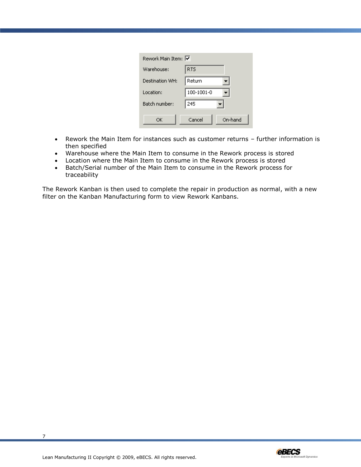| Rework Main Item: M |            |         |
|---------------------|------------|---------|
| Warehouse:          | <b>RTS</b> |         |
| Destination WH:     | Return     |         |
| Location:           | 100-1001-0 |         |
| Batch number:       | 245        |         |
| ОК                  | Cancel     | On-hand |

- Rework the Main Item for instances such as customer returns further information is then specified
- Warehouse where the Main Item to consume in the Rework process is stored
- Location where the Main Item to consume in the Rework process is stored
- Batch/Serial number of the Main Item to consume in the Rework process for traceability

The Rework Kanban is then used to complete the repair in production as normal, with a new filter on the Kanban Manufacturing form to view Rework Kanbans.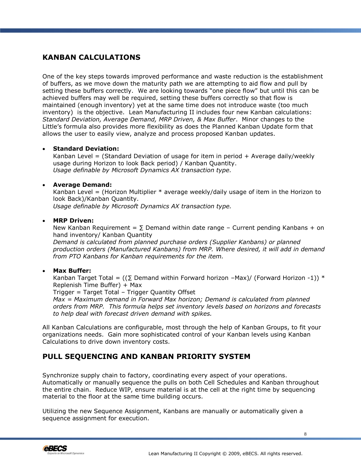# <span id="page-7-0"></span>**KANBAN CALCULATIONS**

One of the key steps towards improved performance and waste reduction is the establishment of buffers, as we move down the maturity path we are attempting to aid flow and pull by setting these buffers correctly. We are looking towards "one piece flow" but until this can be achieved buffers may well be required, setting these buffers correctly so that flow is maintained (enough inventory) yet at the same time does not introduce waste (too much inventory) is the objective. Lean Manufacturing II includes four new Kanban calculations: *Standard Deviation, Average Demand, MRP Driven, & Max Buffer*. Minor changes to the Little's formula also provides more flexibility as does the Planned Kanban Update form that allows the user to easily view, analyze and process proposed Kanban updates.

#### **Standard Deviation:**

Kanban Level = (Standard Deviation of usage for item in period  $+$  Average daily/weekly usage during Horizon to look Back period) / Kanban Quantity. *Usage definable by Microsoft Dynamics AX transaction type.*

#### **Average Demand:**

Kanban Level = (Horizon Multiplier  $*$  average weekly/daily usage of item in the Horizon to look Back)/Kanban Quantity. *Usage definable by Microsoft Dynamics AX transaction type.*

#### **MRP Driven:**

New Kanban Requirement =  $\Sigma$  Demand within date range – Current pending Kanbans + on hand inventory/ Kanban Quantity *Demand is calculated from planned purchase orders (Supplier Kanbans) or planned production orders (Manufactured Kanbans) from MRP. Where desired, it will add in demand* 

#### **Max Buffer:**

Kanban Target Total =  $((\Sigma \text{ Demand within Forward horizon -Max})/(Forward Horizon -1))*$ Replenish Time Buffer) + Max

Trigger = Target Total – Trigger Quantity Offset

*from PTO Kanbans for Kanban requirements for the item.* 

*Max = Maximum demand in Forward Max horizon; Demand is calculated from planned orders from MRP. This formula helps set inventory levels based on horizons and forecasts to help deal with forecast driven demand with spikes.*

All Kanban Calculations are configurable, most through the help of Kanban Groups, to fit your organizations needs. Gain more sophisticated control of your Kanban levels using Kanban Calculations to drive down inventory costs.

# <span id="page-7-1"></span>**PULL SEQUENCING AND KANBAN PRIORITY SYSTEM**

Synchronize supply chain to factory, coordinating every aspect of your operations. Automatically or manually sequence the pulls on both Cell Schedules and Kanban throughout the entire chain. Reduce WIP, ensure material is at the cell at the right time by sequencing material to the floor at the same time building occurs.

Utilizing the new Sequence Assignment, Kanbans are manually or automatically given a sequence assignment for execution.

8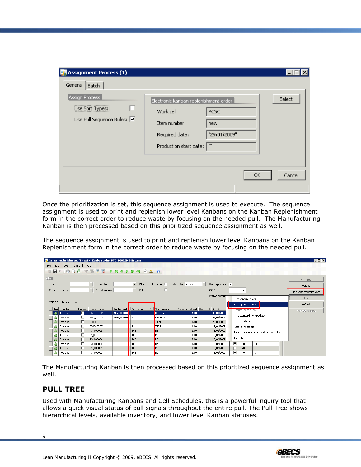| <b>Assignment Process (1)</b>                                                            |                                                                                                                                   |                                                    |        |
|------------------------------------------------------------------------------------------|-----------------------------------------------------------------------------------------------------------------------------------|----------------------------------------------------|--------|
| General<br>Batch<br>Assign Process<br>г<br>Use Sort Types:<br>Use Pull Sequence Rules: V | $\left[$ Electronic kanban replenishment order $\left[$<br>Work cell:<br>Item number:<br>Required date:<br>Production start date: | <b>PCSC</b><br>new<br>"29/01/2009"<br>$\mathbf{m}$ | Select |
|                                                                                          |                                                                                                                                   | <b>OK</b>                                          | Cancel |

Once the prioritization is set, this sequence assignment is used to execute. The sequence assignment is used to print and replenish lower level Kanbans on the Kanban Replenishment form in the correct order to reduce waste by focusing on the needed pull. The Manufacturing Kanban is then processed based on this prioritized sequence assignment as well.

The sequence assignment is used to print and replenish lower level Kanbans on the Kanban Replenishment form in the correct order to reduce waste by focusing on the needed pull.

|        |               |                              |        | MKanban replenishment (1 - sp1) - Kanban order: PTO_000029, B Bottom |              |                                            |                   |                                           |                          |                                         |                                                                        |                       |                |  |  | $\blacksquare$ $\blacksquare$ |
|--------|---------------|------------------------------|--------|----------------------------------------------------------------------|--------------|--------------------------------------------|-------------------|-------------------------------------------|--------------------------|-----------------------------------------|------------------------------------------------------------------------|-----------------------|----------------|--|--|-------------------------------|
|        |               | File Edit Tools Command Help |        |                                                                      |              |                                            |                   |                                           |                          |                                         |                                                                        |                       |                |  |  |                               |
|        |               |                              |        |                                                                      |              | $B X = C F X$                              |                   |                                           |                          |                                         |                                                                        |                       |                |  |  |                               |
| Filter |               |                              |        |                                                                      |              |                                            |                   |                                           |                          |                                         |                                                                        |                       |                |  |  |                               |
|        |               |                              |        |                                                                      |              |                                            |                   |                                           |                          |                                         |                                                                        |                       |                |  |  | On-hand                       |
|        | To warehouse: |                              |        | $\overline{\phantom{a}}$<br>To location:                             |              | Filter by pull to order: $\square$         |                   | Filter jobs: All jobs                     | $\overline{\phantom{a}}$ | Use days ahead: $\overline{\mathbf{v}}$ |                                                                        |                       |                |  |  | Replenish                     |
|        |               | From warehouse:              |        | $\blacktriangledown$<br>From location:                               |              | Pull to order:<br>$\overline{\phantom{a}}$ | $\Box$            |                                           |                          | Days:                                   |                                                                        | 99                    |                |  |  |                               |
|        |               |                              |        |                                                                      |              |                                            |                   |                                           |                          | Printed quantity                        |                                                                        |                       |                |  |  | Replenish by Assignment       |
|        |               |                              |        |                                                                      |              |                                            |                   |                                           |                          |                                         |                                                                        | Print kanban tickets  |                |  |  | Print                         |
|        |               | Overview General Routing     |        |                                                                      |              |                                            |                   |                                           |                          |                                         |                                                                        | Print by Assignment   |                |  |  | Refresh                       |
|        |               | I Inventory                  |        | Marking   Kanban order                                               |              | Kanban orde   Sequence                     | Item number       | Quantity ordered   Received   Required da |                          |                                         |                                                                        | Reprint kanban ticket |                |  |  |                               |
|        |               | Available                    | П      | PTO_000029                                                           | MFG_000010 2 |                                            | <b>B</b> Bottom   | 4.00                                      |                          | 06/04/2009                              |                                                                        |                       |                |  |  | Convert to make               |
|        |               | Available                    | п      | PTO_000030                                                           | MFG_000010 2 |                                            | C Bottom          | 4.00                                      |                          | 06/04/2009                              | Print standard work package<br>Print all tickets<br>Reset print status |                       |                |  |  |                               |
|        |               | Available                    | П      | 0000000001                                                           |              | $\overline{2}$                             | ITEM <sub>1</sub> | 1.00                                      |                          | 29/01/2009                              |                                                                        |                       |                |  |  |                               |
|        |               | Available                    | П      | 0000000002                                                           |              |                                            | ITEM <sub>2</sub> | 1.00                                      |                          | 29/01/2009                              |                                                                        |                       |                |  |  |                               |
|        |               | Available                    | П      | R1_000003                                                            |              | 103                                        | R <sub>2</sub>    | 1.00                                      |                          | 13/02/2009                              | Reset the print status for all kanban tickets                          |                       |                |  |  |                               |
|        |               | Available                    | г      | r2_000004                                                            |              | 103                                        | R <sub>6</sub>    | 1.00                                      |                          | 13/02/2009                              |                                                                        |                       |                |  |  |                               |
|        |               | Available                    | $\Box$ | R3_000004                                                            |              | 103                                        | R7                | 2.00                                      |                          | 13/02/2009                              | Settings                                                               |                       |                |  |  |                               |
|        |               | Available                    | г      | R3_000001                                                            |              | 102                                        | R7                | 1.00                                      |                          | 13/02/2009                              | ⊽                                                                      | R <sub>0</sub>        | R <sub>3</sub> |  |  |                               |
|        |               | Available                    | П      | R1_000006                                                            |              | 102                                        | R <sub>3</sub>    | 1.00                                      |                          | 13/02/2009                              | $\overline{\mathbf{v}}$                                                | R <sub>0</sub>        | R1             |  |  |                               |
|        | O             | Available                    | П      | R1_000002                                                            |              | 102                                        | R1                | 1.00                                      |                          | 13/02/2009                              | ⊽                                                                      | R0                    | R1             |  |  |                               |
|        |               |                              | $\sim$ |                                                                      |              |                                            |                   |                                           |                          |                                         |                                                                        |                       |                |  |  |                               |

The Manufacturing Kanban is then processed based on this prioritized sequence assignment as well.

# <span id="page-8-0"></span>**PULL TREE**

Used with Manufacturing Kanbans and Cell Schedules, this is a powerful inquiry tool that allows a quick visual status of pull signals throughout the entire pull. The Pull Tree shows hierarchical levels, available inventory, and lower level Kanban statuses.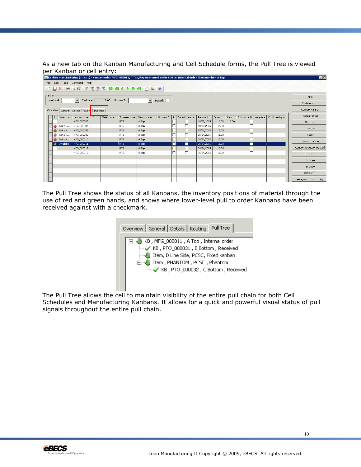As a new tab on the Kanban Manufacturing and Cell Schedule forms, the Pull Tree is viewed per Kanban or cell entry:

|            |        | िण Kanban manufacturing (1 - sp1) - Kanban order: MFG_000011, A Top, Replenishment order status: Internal order, Item number: A Top |                  |              |                     |               |   |                |            |              |      |                                          |  | <b>E</b> E                 |
|------------|--------|-------------------------------------------------------------------------------------------------------------------------------------|------------------|--------------|---------------------|---------------|---|----------------|------------|--------------|------|------------------------------------------|--|----------------------------|
|            |        | File Edit Tools Command Help                                                                                                        |                  |              |                     |               |   |                |            |              |      |                                          |  |                            |
|            |        |                                                                                                                                     |                  |              |                     |               |   |                |            |              |      |                                          |  |                            |
| Filter     |        |                                                                                                                                     |                  |              |                     |               |   |                |            |              |      |                                          |  | Firm                       |
| Work cell: |        | $\vert \cdot \vert$<br>Takt time:                                                                                                   | 0.00 Process Id: |              | $\vert \cdot \vert$ | Rework:       |   |                |            |              |      |                                          |  | Kanban status              |
|            |        | Overview   General   Details   Routin   Pull Tree                                                                                   |                  |              |                     |               |   |                |            |              |      |                                          |  | Convert KanBan             |
|            |        | I Inventory   Kanban order<br>$\Delta$                                                                                              | Sales order      | To warehouse | Item number         | Process Id R. |   | Generic kanban | Required   | Quant   Accu |      | Subcontracting complete   Confirmed qua. |  | Kanban ticket              |
|            |        | MFG_000003                                                                                                                          |                  | RTS          | A Top               |               |   |                | 10/02/2009 | 2.00         | 2.00 |                                          |  | Move cell                  |
| ⊕          | Not av | MFG_000004                                                                                                                          |                  | <b>RTS</b>   | A Top               |               |   | г              | 10/02/2009 | 2.00         |      |                                          |  | Release                    |
|            | Not av | MFG_000008                                                                                                                          |                  | <b>RTS</b>   | A Top               |               |   | П              | 25/02/2009 | 2.00         |      |                                          |  |                            |
|            | Not av | MFG 000009                                                                                                                          |                  | <b>RTS</b>   | A Top               |               | - | г              | 06/04/2009 | 2.00         |      |                                          |  | Reset                      |
|            |        | Not av   MFG 000010                                                                                                                 |                  | <b>RTS</b>   | A Top               |               | - |                | 06/04/2009 | 2.00         |      |                                          |  | Subcontracting             |
|            |        | Available   MFG 000011                                                                                                              |                  | RTS.         | A Top               |               | г | - 1            | 06/04/2009 | 2.00         |      | ш                                        |  |                            |
|            |        | MFG_000012                                                                                                                          |                  | RTS          | A Top               |               |   |                | 06/04/2009 | 2.00         |      |                                          |  | Convert to subcontract (d) |
|            |        | MFG_000013                                                                                                                          |                  | <b>RTS</b>   | A Top               |               |   | п              | 06/04/2009 | 2.00         |      |                                          |  | Print lines                |
|            |        |                                                                                                                                     |                  |              |                     |               |   |                |            |              |      |                                          |  | Settings                   |
|            |        |                                                                                                                                     |                  |              |                     |               |   |                |            |              |      |                                          |  | Explode                    |
|            |        |                                                                                                                                     |                  |              |                     |               |   |                |            |              |      |                                          |  | Refresh (j)                |
|            |        |                                                                                                                                     |                  |              |                     |               |   |                |            |              |      |                                          |  | Assignment Process (g)     |

The Pull Tree shows the status of all Kanbans, the inventory positions of material through the use of red and green hands, and shows where lower-level pull to order Kanbans have been received against with a checkmark.

| Overview   General   Details   Routing   Pull Tree                                                                                                                                             |
|------------------------------------------------------------------------------------------------------------------------------------------------------------------------------------------------|
| KB, MFG_000011, A Top, Internal order<br>KB, PTO_000031, B Bottom, Received<br>Item, D Line Side, PCSC, Fixed kanban<br>Item, PHANTOM, PCSC, Phantom<br>E V KB, PTO_000032, C Bottom, Received |

The Pull Tree allows the cell to maintain visibility of the entire pull chain for both Cell Schedules and Manufacturing Kanbans. It allows for a quick and powerful visual status of pull signals throughout the entire pull chain.